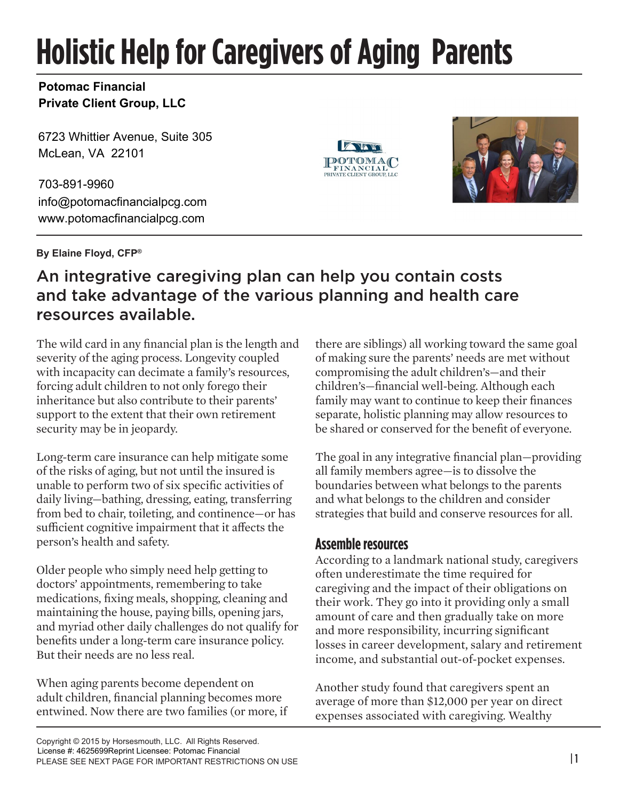# **Holistic Help for Caregivers of Aging Parents**

#### **Potomac Financial Private Client Group, LLC**

6723 Whittier Avenue, Suite 305 McLean, VA 22101

703-891-9960 info@potomacfinancialpcg.com www.potomacfinancialpcg.com

**By Elaine Floyd, CFP®**

#### **POTOMA** FINANCIAL PRIVATE CLIENT GROUP LLC



# An integrative caregiving plan can help you contain costs and take advantage of the various planning and health care resources available.

The wild card in any financial plan is the length and severity of the aging process. Longevity coupled with incapacity can decimate a family's resources, forcing adult children to not only forego their inheritance but also contribute to their parents' support to the extent that their own retirement security may be in jeopardy.

Long-term care insurance can help mitigate some of the risks of aging, but not until the insured is unable to perform two of six specific activities of daily living—bathing, dressing, eating, transferring from bed to chair, toileting, and continence—or has sufficient cognitive impairment that it affects the person's health and safety.

Older people who simply need help getting to doctors' appointments, remembering to take medications, fixing meals, shopping, cleaning and maintaining the house, paying bills, opening jars, and myriad other daily challenges do not qualify for benefits under a long-term care insurance policy. But their needs are no less real.

When aging parents become dependent on adult children, financial planning becomes more entwined. Now there are two families (or more, if there are siblings) all working toward the same goal of making sure the parents' needs are met without compromising the adult children's—and their children's—financial well-being. Although each family may want to continue to keep their finances separate, holistic planning may allow resources to be shared or conserved for the benefit of everyone.

The goal in any integrative financial plan—providing all family members agree—is to dissolve the boundaries between what belongs to the parents and what belongs to the children and consider strategies that build and conserve resources for all.

#### **Assemble resources**

According to a landmark national study, caregivers often underestimate the time required for caregiving and the impact of their obligations on their work. They go into it providing only a small amount of care and then gradually take on more and more responsibility, incurring significant losses in career development, salary and retirement income, and substantial out-of-pocket expenses.

Another study found that caregivers spent an average of more than \$12,000 per year on direct expenses associated with caregiving. Wealthy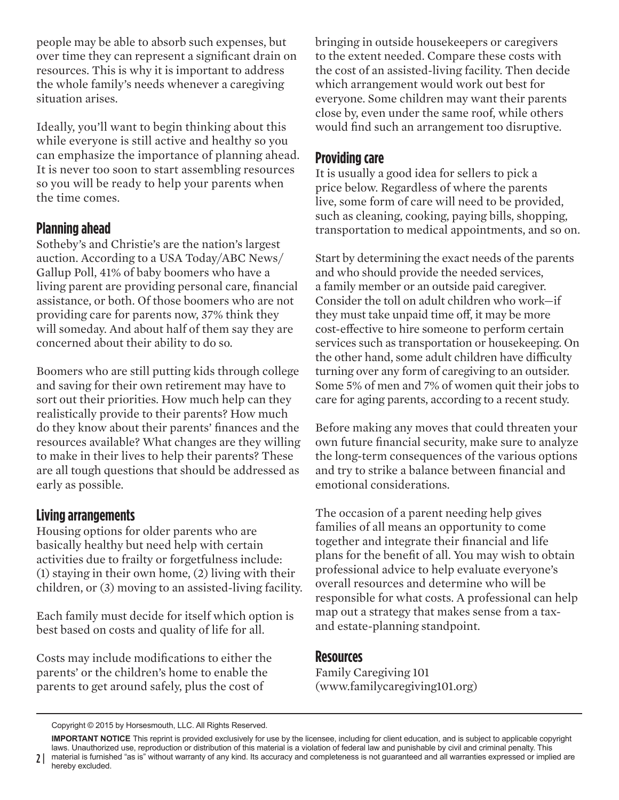people may be able to absorb such expenses, but over time they can represent a significant drain on resources. This is why it is important to address the whole family's needs whenever a caregiving situation arises.

Ideally, you'll want to begin thinking about this while everyone is still active and healthy so you can emphasize the importance of planning ahead. It is never too soon to start assembling resources so you will be ready to help your parents when the time comes.

### **Planning ahead**

Sotheby's and Christie's are the nation's largest auction. According to a USA Today/ABC News/ Gallup Poll, 41% of baby boomers who have a living parent are providing personal care, financial assistance, or both. Of those boomers who are not providing care for parents now, 37% think they will someday. And about half of them say they are concerned about their ability to do so.

Boomers who are still putting kids through college and saving for their own retirement may have to sort out their priorities. How much help can they realistically provide to their parents? How much do they know about their parents' finances and the resources available? What changes are they willing to make in their lives to help their parents? These are all tough questions that should be addressed as early as possible.

# **Living arrangements**

Housing options for older parents who are basically healthy but need help with certain activities due to frailty or forgetfulness include: (1) staying in their own home, (2) living with their children, or (3) moving to an assisted-living facility.

Each family must decide for itself which option is best based on costs and quality of life for all.

Costs may include modifications to either the parents' or the children's home to enable the parents to get around safely, plus the cost of

bringing in outside housekeepers or caregivers to the extent needed. Compare these costs with the cost of an assisted-living facility. Then decide which arrangement would work out best for everyone. Some children may want their parents close by, even under the same roof, while others would find such an arrangement too disruptive.

## **Providing care**

It is usually a good idea for sellers to pick a price below. Regardless of where the parents live, some form of care will need to be provided, such as cleaning, cooking, paying bills, shopping, transportation to medical appointments, and so on.

Start by determining the exact needs of the parents and who should provide the needed services, a family member or an outside paid caregiver. Consider the toll on adult children who work—if they must take unpaid time off, it may be more cost-effective to hire someone to perform certain services such as transportation or housekeeping. On the other hand, some adult children have difficulty turning over any form of caregiving to an outsider. Some 5% of men and 7% of women quit their jobs to care for aging parents, according to a recent study.

Before making any moves that could threaten your own future financial security, make sure to analyze the long-term consequences of the various options and try to strike a balance between financial and emotional considerations.

The occasion of a parent needing help gives families of all means an opportunity to come together and integrate their financial and life plans for the benefit of all. You may wish to obtain professional advice to help evaluate everyone's overall resources and determine who will be responsible for what costs. A professional can help map out a strategy that makes sense from a taxand estate-planning standpoint.

#### **Resources**

Family Caregiving 101 (www.familycaregiving101.org)

Copyright © 2015 by Horsesmouth, LLC. All Rights Reserved.

**IMPORTANT NOTICE** This reprint is provided exclusively for use by the licensee, including for client education, and is subject to applicable copyright laws. Unauthorized use, reproduction or distribution of this material is a violation of federal law and punishable by civil and criminal penalty. This material is furnished "as is" without warranty of any kind. Its accuracy and completeness is not guaranteed and all warranties expressed or implied are hereby excluded.

 $2<sup>1</sup>$